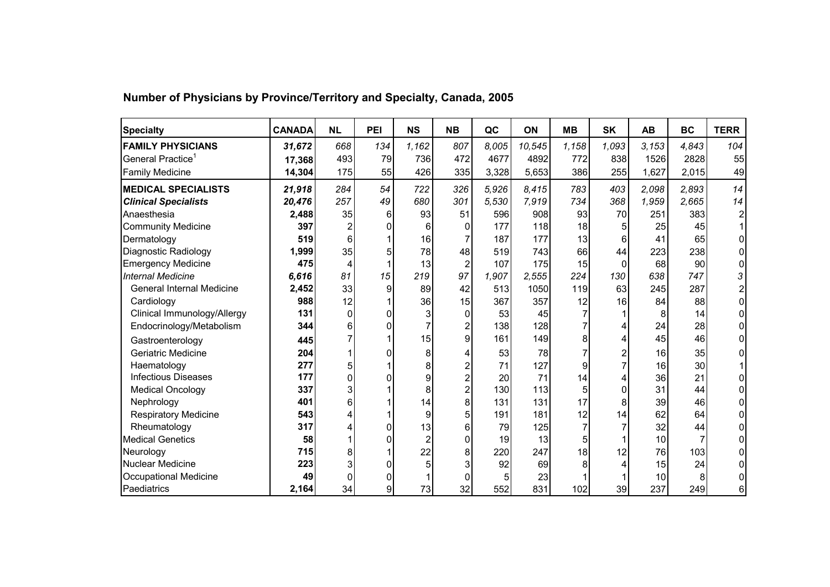| <b>Specialty</b>                 | <b>CANADA</b> | <b>NL</b>      | PEI | <b>NS</b> | <b>NB</b>      | QC    | ON     | <b>MB</b> | <b>SK</b> | <b>AB</b> | <b>BC</b> | <b>TERR</b>             |
|----------------------------------|---------------|----------------|-----|-----------|----------------|-------|--------|-----------|-----------|-----------|-----------|-------------------------|
| <b>FAMILY PHYSICIANS</b>         | 31,672        | 668            | 134 | 1,162     | 807            | 8,005 | 10,545 | 1,158     | 1,093     | 3.153     | 4,843     | 104                     |
| General Practice <sup>1</sup>    | 17,368        | 493            | 79  | 736       | 472            | 4677  | 4892   | 772       | 838       | 1526      | 2828      | 55                      |
| <b>Family Medicine</b>           | 14,304        | 175            | 55  | 426       | 335            | 3,328 | 5,653  | 386       | 255       | 1,627     | 2,015     | 49                      |
| <b>MEDICAL SPECIALISTS</b>       | 21,918        | 284            | 54  | 722       | 326            | 5,926 | 8.415  | 783       | 403       | 2.098     | 2,893     | 14                      |
| <b>Clinical Specialists</b>      | 20,476        | 257            | 49  | 680       | 301            | 5,530 | 7,919  | 734       | 368       | 1,959     | 2,665     | 14                      |
| Anaesthesia                      | 2,488         | 35             | 6   | 93        | 51             | 596   | 908    | 93        | 70        | 251       | 383       | $\overline{\mathbf{c}}$ |
| <b>Community Medicine</b>        | 397           | $\overline{2}$ | 0   | 6         | $\Omega$       | 177   | 118    | 18        | 5         | 25        | 45        |                         |
| Dermatology                      | 519           | 6              |     | 16        |                | 187   | 177    | 13        | 6         | 41        | 65        | 0                       |
| Diagnostic Radiology             | 1,999         | 35             | 5   | 78        | 48             | 519   | 743    | 66        | 44        | 223       | 238       | 0                       |
| <b>Emergency Medicine</b>        | 475           | 4              |     | 13        | 2              | 107   | 175    | 15        | $\Omega$  | 68        | 90        | 0                       |
| <b>Internal Medicine</b>         | 6,616         | 81             | 15  | 219       | 97             | 1,907 | 2,555  | 224       | 130       | 638       | 747       | 3                       |
| <b>General Internal Medicine</b> | 2,452         | 33             | 9   | 89        | 42             | 513   | 1050   | 119       | 63        | 245       | 287       | 2                       |
| Cardiology                       | 988           | 12             |     | 36        | 15             | 367   | 357    | 12        | 16        | 84        | 88        | 0                       |
| Clinical Immunology/Allergy      | 131           | $\Omega$       | 0   |           | $\Omega$       | 53    | 45     |           |           | 8         | 14        | 0                       |
| Endocrinology/Metabolism         | 344           | 6              | U   |           | 2              | 138   | 128    |           | 4         | 24        | 28        | 0                       |
| Gastroenterology                 | 445           |                |     | 15        | 9              | 161   | 149    | 8         | 4         | 45        | 46        | 0                       |
| Geriatric Medicine               | 204           |                | O   | 8         |                | 53    | 78     | 7         | 2         | 16        | 35        | 0                       |
| Haematology                      | 277           | 5              |     | 8         | 2              | 71    | 127    | 9         | 7         | 16        | 30        |                         |
| <b>Infectious Diseases</b>       | 177           | 0              |     | 9         | $\overline{2}$ | 20    | 71     | 14        | 4         | 36        | 21        | 0                       |
| <b>Medical Oncology</b>          | 337           | 3              |     | 8         | $\overline{2}$ | 130   | 113    | 5         | 0         | 31        | 44        | 0                       |
| Nephrology                       | 401           | 6              |     | 14        | 8              | 131   | 131    | 17        | 8         | 39        | 46        | 0                       |
| <b>Respiratory Medicine</b>      | 543           |                |     | 9         | 5              | 191   | 181    | 12        | 14        | 62        | 64        | 0                       |
| Rheumatology                     | 317           |                | 0   | 13        | 6              | 79    | 125    |           | 7         | 32        | 44        | 0                       |
| <b>Medical Genetics</b>          | 58            |                | 0   | 2         | 0              | 19    | 13     | 5         |           | 10        |           | 0                       |
| Neurology                        | 715           | 8              |     | 22        | 8              | 220   | 247    | 18        | 12        | 76        | 103       | 0                       |
| <b>Nuclear Medicine</b>          | 223           | 3              | 0   |           | 3              | 92    | 69     | 8         | 4         | 15        | 24        | 0                       |
| Occupational Medicine            | 49            | $\Omega$       | 0   |           | 0              | 5     | 23     |           |           | 10        | 8         | 0                       |
| Paediatrics                      | 2,164         | 34             | 9   | 73        | 32             | 552   | 831    | 102       | 39        | 237       | 249       | 6                       |

 **Number of Physicians by Province/Territory and Specialty, Canada, 2005**